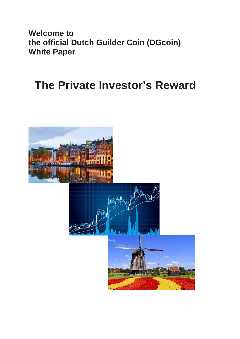**Welcome to the official Dutch Guilder Coin (DGcoin) White Paper**

# **The Private Investor's Reward**

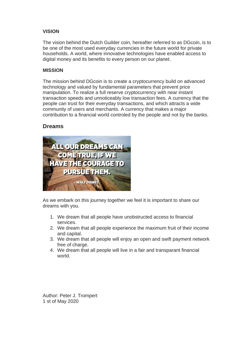# **VISION**

The vision behind the Dutch Guilder coin, hereafter referred to as DGcoin, is to be one of the most used everyday currencies in the future world for private households. A world, where innovative technologies have enabled access to digital money and its benefits to every person on our planet.

## **MISSION**

The mission behind DGcoin is to create a cryptocurrency build on advanced technology and valued by fundamental parameters that prevent price manipulation. To realize a full reserve cryptocurrency with near instant transaction speeds and unnoticeably low transaction fees. A currency that the people can trust for their everyday transactions, and which attracts a wide community of users and merchants. A currency that makes a major contribution to a financial world controled by the people and not by the banks.

# **Dreams**



As we embark on this journey together we feel it is important to share our dreams with you.

- 1. We dream that all people have unobstructed access to financial services.
- 2. We dream that all people experience the maximum fruit of their income and capital.
- 3. We dream that all people will enjoy an open and swift payment network free of charge.
- 4. We dream that all people will live in a fair and transparant financial world.

Author: Peter J. Trompert 1 st of May 2020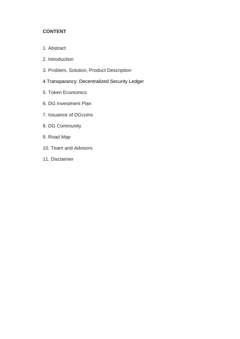# **CONTENT**

- 1. Abstract
- 2. Introduction
- 3. Problem, Solution, Product Description
- 4.Transparancy: Decentralized Security Ledger
- 5. Token Economics
- 6. DG Investment Plan
- 7. Issuance of DGcoins
- 8. DG Community
- 9. Road Map
- 10. Team and Advisors
- 11. Disclaimer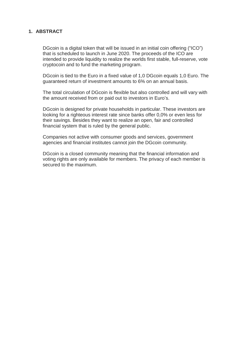## **1. ABSTRACT**

DGcoin is a digital token that will be issued in an initial coin offering ("ICO") that is scheduled to launch in June 2020. The proceeds of the ICO are intended to provide liquidity to realize the worlds first stable, full-reserve, vote cryptocoin and to fund the marketing program.

DGcoin is tied to the Euro in a fixed value of 1,0 DGcoin equals 1,0 Euro. The guaranteed return of investment amounts to 6% on an annual basis.

The total circulation of DGcoin is flexible but also controlled and will vary with the amount received from or paid out to investors in Euro's.

DGcoin is designed for private households in particular. These investors are looking for a righteous interest rate since banks offer 0,0% or even less for their savings. Besides they want to realize an open, fair and controlled financial system that is ruled by the general public.

Companies not active with consumer goods and services, government agencies and financial institutes cannot join the DGcoin community.

DGcoin is a closed community meaning that the financial information and voting rights are only available for members. The privacy of each member is secured to the maximum.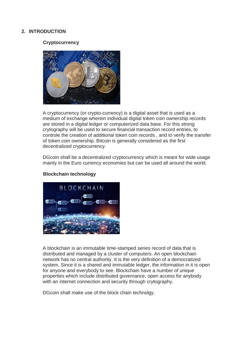#### **2. INTRODUCTION**

#### **Cryptocurrency**



A cryptocurrency (or crypto-currency) is a digital asset that is used as a medium of exchange wherein individual digital token coin ownership records are stored in a digital ledger or computerized data base. For this strong crytography will be used to secure financial transaction record entries, to controle the creation of additional token coin records , and to verify the transfer of token coin ownership. Bitcoin is generally considered as the first decentralized cryptocurrency.

DGcoin shall be a decentralized cryptocurrency which is meant for wide usage mainly in the Euro currency economies but can be used all around the world.



#### **Blockchain technology**

A blockchain is an immutable time-stamped series record of data that is distributed and managed by a cluster of computers. An open blockchain network has no central authority. It is the very definition of a democratized system. Since it is a shared and immutable ledger, the information in it is open for anyone and everybody to see. Blockchain have a number of unique properties which include distributed governance, open access for anybody with an internet connection and security through crytography.

DGcoin shall make use of the block chain technolgy.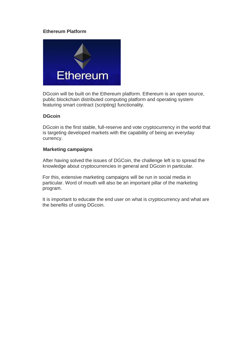## **Ethereum Platform**



DGcoin will be built on the Ethereum platform. Ethereum is an open source, public blockchain distributed computing platform and operating system featuring smart contract (scripting) functionality.

#### **DGcoin**

DGcoin is the first stable, full-reserve and vote cryptocurrency in the world that is targeting developed markets with the capability of being an everyday currency.

#### **Marketing campaigns**

After having solved the issues of DGCoin, the challenge left is to spread the knowledge about cryptocurrencies in general and DGcoin in particular.

For this, extensive marketing campaigns will be run in social media in particular. Word of mouth will also be an important pillar of the marketing program.

It is important to educate the end user on what is cryptocurrency and what are the benefits of using DGcoin.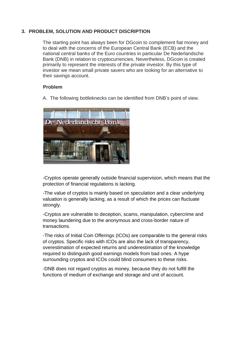# **3. PROBLEM, SOLUTION AND PRODUCT DISCRIPTION**

The starting point has always been for DGcoin to complement fiat money and to deal with the concerns of the European Central Bank (ECB) and the national central banks of the Euro countries in particular De Nederlandsche Bank (DNB) in relation to cryptocurrencies. Nevertheless, DGcoin is created primarily to represent the interests of the private investor. By this type of investor we mean small private savers who are looking for an alternative to their savings account.

#### **Problem**

A. The following bottleknecks can be identified from DNB's point of view.



-Cryptos operate generally outside financial supervision, which means that the protection of financial regulations is lacking.

-The value of cryptos is mainly based on speculation and a clear underlying valuation is generally lacking, as a result of which the prices can fluctuate strongly.

-Cryptos are vulnerable to deception, scams, manipulation, cybercrime and money laundering due to the anonymous and cross-border nature of transactions.

-The risks of Initial Coin Offerings (ICOs) are comparable to the general risks of cryptos. Specific risks with ICOs are also the lack of transparency, overestimation of expected returns and underestimation of the knowledge required to distinguish good earnings models from bad ones. A hype surrounding cryptos and ICOs could blind consumers to these risks.

-DNB does not regard cryptos as money, because they do not fulfill the functions of medium of exchange and storage and unit of account.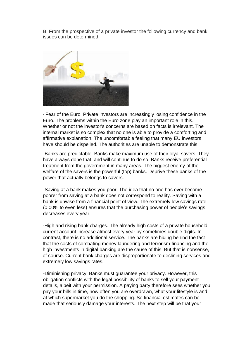B. From the prospective of a private investor the following currency and bank issues can be determined.



- Fear of the Euro. Private investors are increasingly losing confidence in the Euro. The problems within the Euro zone play an important role in this. Whether or not the investor's concerns are based on facts is irrelevant. The internal market is so complex that no one is able to provide a comforting and affirmative explanation. The uncomfortable feeling that many EU investors have should be dispelled. The authorities are unable to demonstrate this.

-Banks are predictable. Banks make maximum use of their loyal savers. They have always done that and will continue to do so. Banks receive preferential treatment from the government in many areas. The biggest enemy of the welfare of the savers is the powerful (top) banks. Deprive these banks of the power that actually belongs to savers.

-Saving at a bank makes you poor. The idea that no one has ever become poorer from saving at a bank does not correspond to reality. Saving with a bank is unwise from a financial point of view. The extremely low savings rate (0.00% to even less) ensures that the purchasing power of people's savings decreases every year.

-High and rising bank charges. The already high costs of a private household current account increase almost every year by sometimes double digits. In contrast, there is no additional service. The banks are hiding behind the fact that the costs of combating money laundering and terrorism financing and the high investments in digital banking are the cause of this. But that is nonsense, of course. Current bank charges are disproportionate to declining services and extremely low savings rates.

-Diminishing privacy. Banks must guarantee your privacy. However, this obligation conflicts with the legal possibility of banks to sell your payment details, albeit with your permission. A paying party therefore sees whether you pay your bills in time, how often you are overdrawn, what your lifestyle is and at which supermarket you do the shopping. So financial estimates can be made that seriously damage your interests. The next step will be that your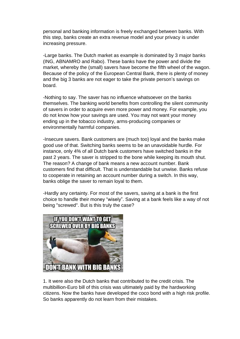personal and banking information is freely exchanged between banks. With this step, banks create an extra revenue model and your privacy is under increasing pressure.

-Large banks. The Dutch market as example is dominated by 3 major banks (ING, ABNAMRO and Rabo). These banks have the power and divide the market, whereby the (small) savers have become the fifth wheel of the wagon. Because of the policy of the European Central Bank, there is plenty of money and the big 3 banks are not eager to take the private person's savings on board.

-Nothing to say. The saver has no influence whatsoever on the banks themselves. The banking world benefits from controlling the silent community of savers in order to acquire even more power and money. For example, you do not know how your savings are used. You may not want your money ending up in the tobacco industry, arms-producing companies or environmentally harmful companies.

-Insecure savers. Bank customers are (much too) loyal and the banks make good use of that. Switching banks seems to be an unavoidable hurdle. For instance, only 4% of all Dutch bank customers have switched banks in the past 2 years. The saver is stripped to the bone while keeping its mouth shut. The reason? A change of bank means a new account number. Bank customers find that difficult. That is understandable but unwise. Banks refuse to cooperate in retaining an account number during a switch. In this way, banks oblige the saver to remain loyal to them.

-Hardly any certainty. For most of the savers, saving at a bank is the first choice to handle their money "wisely". Saving at a bank feels like a way of not being "screwed". But is this truly the case?



1. It were also the Dutch banks that contributed to the credit crisis. The multibillion-Euro bill of this crisis was ultimately paid by the hardworking citizens. Now the banks have developed the coco bond with a high risk profile. So banks apparently do not learn from their mistakes.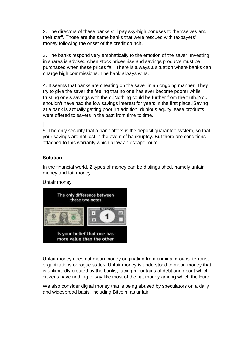2. The directors of these banks still pay sky-high bonuses to themselves and their staff. Those are the same banks that were rescued with taxpayers' money following the onset of the credit crunch.

3. The banks respond very emphatically to the emotion of the saver. Investing in shares is advised when stock prices rise and savings products must be purchased when these prices fall. There is always a situation where banks can charge high commissions. The bank always wins.

4. It seems that banks are cheating on the saver in an ongoing manner. They try to give the saver the feeling that no one has ever become poorer while trusting one's savings with them. Nothing could be further from the truth. You shouldn't have had the low savings interest for years in the first place. Saving at a bank is actually getting poor. In addition, dubious equity lease products were offered to savers in the past from time to time.

5. The only security that a bank offers is the deposit guarantee system, so that your savings are not lost in the event of bankruptcy. But there are conditions attached to this warranty which allow an escape route.

## **Solution**

In the financial world, 2 types of money can be distinguished, namely unfair money and fair money.

Unfair money



Unfair money does not mean money originating from criminal groups, terrorist organizations or rogue states. Unfair money is understood to mean money that is unlimitedly created by the banks, facing mountains of debt and about which citizens have nothing to say like most of the fiat money among which the Euro.

We also consider digital money that is being abused by speculators on a daily and widespread basis, including Bitcoin, as unfair.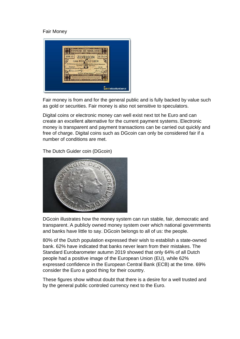# Fair Money



Fair money is from and for the general public and is fully backed by value such as gold or securities. Fair money is also not sensitive to speculators.

Digital coins or electronic money can well exist next tot he Euro and can create an excellent alternative for the current payment systems. Electronic money is transparent and payment transactions can be carried out quickly and free of charge. Digital coins such as DGcoin can only be considered fair if a number of conditions are met.

The Dutch Guider coin (DGcoin)



DGcoin illustrates how the money system can run stable, fair, democratic and transparent. A publicly owned money system over which national governments and banks have little to say. DGcoin belongs to all of us: the people.

80% of the Dutch population expressed their wish to establish a state-owned bank. 62% have indicated that banks never learn from their mistakes. The Standard Eurobarometer autumn 2019 showed that only 64% of all Dutch people had a positive image of the European Union (EU), while 62% expressed confidence in the European Central Bank (ECB) at the time. 69% consider the Euro a good thing for their country.

These figures show without doubt that there is a desire for a well trusted and by the general public controled currency next to the Euro.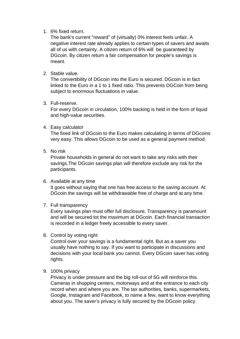1. 6% fixed return.

The bank's current "reward" of (virtually) 0% interest feels unfair. A negative interest rate already applies to certain types of savers and awaits all of us with certainty. A citizen return of 6% will be guaranteed by DGcoin. By citizen return a fair compensation for people's savings is meant.

2. Stable value.

The convertibility of DGcoin into the Euro is secured. DGcoin is in fact linked to the Euro in a 1 to 1 fixed ratio. This prevents DGCoin from being subject to enormous fluctuations in value.

3. Full-reserve.

For every DGcoin in circulation, 100% backing is held in the form of liquid and high-value securities.

4. Easy calculator

The fixed link of DGcoin to the Euro makes calculating in terms of DGcoins very easy. This allows DGcoin to be used as a general payment method.

5. No risk

Private households in general do not want to take any risks with their savings.The DGcoin savings plan will therefore exclude any risk for the participants.

6. Available at any time

It goes without saying that one has free access to the saving account. At DGcoin the savings will be withdrawable free of charge and at any time.

7. Full transparency

Every savings plan must offer full disclosure. Transparency is paramount and will be secured tot the maximum at DGcoin. Each financial transaction is recorded in a ledger freely accessible to every saver.

8. Control by voting right

Control over your savings is a fundamental right. But as a saver you usually have nothing to say. If you want to participate in discussions and decisions with your local bank you cannot. Every DGcoin saver has voting rights.

9. 100% privacy

Privacy is under pressure and the big roll-out of 5G will reinforce this. Cameras in shopping centers, motorways and at the entrance to each city record when and where you are. The tax authorities, banks, supermarkets, Google, Instagram and Facebook, to name a few, want to know everything about you. The saver's privacy is fully secured by the DGcoin policy.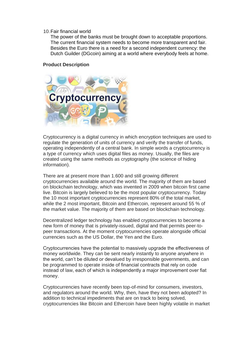#### 10.Fair financial world

The power of the banks must be brought down to acceptable proportions. The current financial system needs to become more transparent and fair. Besides the Euro there is a need for a second independent currency: the Dutch Guilder (DGcoin) aiming at a world where everybody feels at home.

#### **Product Description**



Cryptocurrency is a digital currency in which encryption techniques are used to regulate the generation of units of currency and verify the transfer of funds, operating independently of a central bank. In simple words a cryptocurrency is a type of currency which uses digital files as money. Usually, the files are created using the same methods as cryptography (the science of hiding information).

There are at present more than 1.600 and still growing different cryptocurrencies available around the world. The majority of them are based on blockchain technology, which was invented in 2009 when bitcoin first came live. Bitcoin is largely believed to be the most popular cryptocurrency. Today the 10 most important cryptocurrencies represent 80% of the total market, while the 2 most important, Bitcoin and Ethercoin, represent around 55 % of the market value. The majority of them are based on blockchain technology.

Decentralized ledger technology has enabled cryptocurrencies to become a new form of money that is privately-issued, digital and that permits peer-topeer transactions. At the moment cryptocurrencies operate alongside official currencies such as the US Dollar, the Yen and the Euro.

Cryptocurrencies have the potential to massively upgrade the effectiveness of money worldwide. They can be sent nearly instantly to anyone anywhere in the world, can't be diluted or devalued by irresponsible governments, and can be programmed to operate inside of financial contracts that rely on code instead of law, each of which is independently a major improvement over fiat money.

Cryptocurrencies have recently been top-of-mind for consumers, investors, and regulators around the world. Why, then, have they not been adopted? In addition to technical impediments that are on track to being solved, cryptocurrencies like Bitcoin and Ethercoin have been highly volatile in market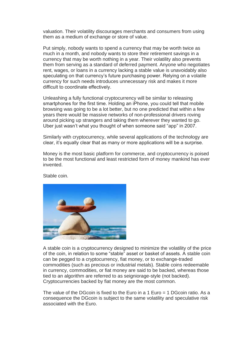valuation. Their volatility discourages merchants and consumers from using them as a medium of exchange or store of value.

Put simply, nobody wants to spend a currency that may be worth twice as much in a month, and nobody wants to store their retirement savings in a currency that may be worth nothing in a year. Their volatility also prevents them from serving as a standard of deferred payment. Anyone who negotiates rent, wages, or loans in a currency lacking a stable value is unavoidably also speculating on that currency's future purchasing power. Relying on a volatile currency for such needs introduces unnecessary risk and makes it more difficult to coordinate effectively.

Unleashing a fully functional cryptocurrency will be similar to releasing smartphones for the first time. Holding an iPhone, you could tell that mobile browsing was going to be a lot better, but no one predicted that within a few years there would be massive networks of non-professional drivers roving around picking up strangers and taking them wherever they wanted to go. Uber just wasn't what you thought of when someone said "app" in 2007.

Similarly with cryptocurrency, while several applications of the technology are clear, it's equally clear that as many or more applications will be a surprise.

Money is the most basic platform for commerce, and cryptocurrency is poised to be the most functional and least restricted form of money mankind has ever invented.



Stable coin.

A stable coin is a cryptocurrency designed to minimize the volatility of the price of the coin, in relation to some "stable" asset or basket of assets. A stable coin can be pegged to a cryptocurrency, fiat money, or to exchange-traded commodities (such as precious or industrial metals). Stable coins redeemable in currency, commodities, or fiat money are said to be backed, whereas those tied to an algorithm are referred to as seigniorage-style (not backed). Cryptocurrencies backed by fiat money are the most common.

The value of the DGcoin is fixed to the Euro in a 1 Euro = 1 DGcoin ratio. As a consequence the DGcoin is subject to the same volatility and speculative risk associated with the Euro.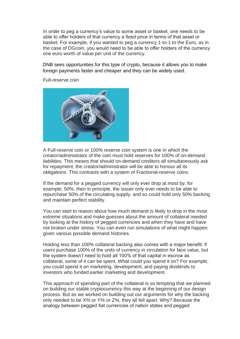In order to peg a currency's value to some asset or basket, one needs to be able to offer holders of that currency a fixed price in terms of that asset or basket. For example, if you wanted to peg a currency 1-to-1 to the Euro, as in the case of DGcoin, you would need to be able to offer holders of the currency one euro worth of value per unit of the currency.

DNB sees opportunities for this type of crypto, because it allows you to make foreign payments faster and cheaper and they can be widely used.



Full-reserve coin

A Full-reserve coin or 100% reserve coin system is one in which the creator/administrator of the coin must hold reserves for 100% of on-demand liabilities. This means that should on-demand creditors all simultaneously ask for repayment, the creator/administrator will be able to honour all its obligations. This contrasts with a system of Fractional-reserve coins.

If the demand for a pegged currency will only ever drop at most by, for example, 50%, then in principle, the issuer only ever needs to be able to repurchase 50% of the circulating supply, and so could hold only 50% backing and maintain perfect stability.

You can start to reason about how much demand is likely to drop in the most extreme situations and make guesses about the amount of collateral needed by looking at the history of pegged currencies and when they have and have not broken under stress. You can even run simulations of what might happen given various possible demand histories.

Holding less than 100% collateral backing also comes with a major benefit: if users purchase 100% of the units of currency in circulation for face value, but the system doesn't need to hold all 100% of that capital in escrow as collateral, some of it can be spent. What could you spend it on? For example, you could spend it on marketing, development, and paying dividends to investors who funded earlier marketing and development.

This approach of spending part of the collateral is so tempting that we planned on building our stable cryptocurrency this way at the beginning of our design process. But as we worked on building out our arguments for why the backing only needed to be X% or Y% or Z%, they all fell apart. Why? Because the analogy between pegged fiat currencies of nation states and pegged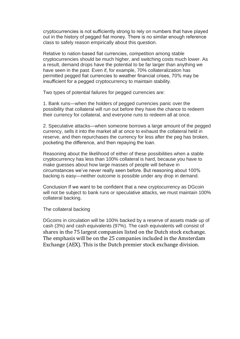cryptocurrencies is not sufficiently strong to rely on numbers that have played out in the history of pegged fiat money. There is no similar enough reference class to safely reason empirically about this question.

Relative to nation-based fiat currencies, competition among stable cryptocurrencies should be much higher, and switching costs much lower. As a result, demand drops have the potential to be far larger than anything we have seen in the past. Even if, for example, 70% collateralization has permitted pegged fiat currencies to weather financial crises, 70% may be insufficient for a pegged cryptocurrency to maintain stability.

Two types of potential failures for pegged currencies are:

1. Bank runs—when the holders of pegged currencies panic over the possibility that collateral will run out before they have the chance to redeem their currency for collateral, and everyone runs to redeem all at once.

2. Speculative attacks—when someone borrows a large amount of the pegged currency, sells it into the market all at once to exhaust the collateral held in reserve, and then repurchases the currency for less after the peg has broken, pocketing the difference, and then repaying the loan.

Reasoning about the likelihood of either of these possibilities when a stable cryptocurrency has less than 100% collateral is hard, because you have to make guesses about how large masses of people will behave in circumstances we've never really seen before. But reasoning about 100% backing is easy—neither outcome is possible under any drop in demand.

Conclusion If we want to be confident that a new cryptocurrency as DGcoin will not be subject to bank runs or speculative attacks, we must maintain 100% collateral backing.

The collateral backing

DGcoins in circulation will be 100% backed by a reserve of assets made up of cash (3%) and cash equivalents (97%). The cash equivalents will consist of shares in the 75 largest companies listed on the Dutch stock exchange. The emphasis will be on the 25 companies included in the Amsterdam Exchange (AEX). This is the Dutch premier stock exchange division.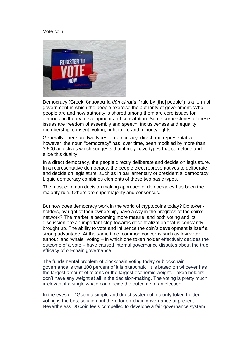#### Vote coin



Democracy [\(Greek:](https://en.wikipedia.org/wiki/Greek_language) δημοκρατία *dēmokratía*, "rule by [the] people") is a [form of](https://en.wikipedia.org/wiki/Form_of_government)  [government](https://en.wikipedia.org/wiki/Form_of_government) in which [the people](https://en.wikipedia.org/wiki/People) exercise the [authority](https://en.wikipedia.org/wiki/Authority) of government. Who people are and how authority is shared among them are core issues for democratic theory, development and [constitution.](https://en.wikipedia.org/wiki/Constitution) Some cornerstones of these issues are [freedom of assembly](https://en.wikipedia.org/wiki/Freedom_of_assembly) and [speech,](https://en.wikipedia.org/wiki/Freedom_of_speech) [inclusiveness](https://en.wikipedia.org/wiki/Social_exclusion#Social_inclusion) and [equality,](https://en.wikipedia.org/wiki/Political_equality) [membership,](https://en.wikipedia.org/wiki/Citizenship) [consent,](https://en.wikipedia.org/wiki/Consent_of_the_governed) [voting,](https://en.wikipedia.org/wiki/Voting_rights) [right to life](https://en.wikipedia.org/wiki/Right_to_life) and [minority rights.](https://en.wikipedia.org/wiki/Minority_rights)

Generally, there are two types of democracy: direct and representative however, the noun "democracy" has, over time, been modified by more than 3,500 adjectives which suggests that it may have types that can elude and elide this duality.

In a [direct democracy,](https://en.wikipedia.org/wiki/Direct_democracy) the people directly [deliberate](https://en.wikipedia.org/wiki/Deliberate) and decide on [legislature.](https://en.wikipedia.org/wiki/Legislature) In a [representative democracy,](https://en.wikipedia.org/wiki/Representative_democracy) the people elect representatives to deliberate and decide on legislature, such as in [parliamentary](https://en.wikipedia.org/wiki/Parliamentary_democracy) or [presidential democracy.](https://en.wikipedia.org/wiki/Presidential_democracy) [Liquid democracy](https://en.wikipedia.org/wiki/Liquid_democracy) combines elements of these two basic types.

The most common decision making approach of democracies has been the [majority rule.](https://en.wikipedia.org/wiki/Majority_rule) Others are [supermajority](https://en.wikipedia.org/wiki/Supermajority) and [consensus.](https://en.wikipedia.org/wiki/Consensus_democracy)

But how does democracy work in the world of cryptocoins today? Do tokenholders, by right of their ownership, have a say in the progress of the coin's network? The market is becoming more mature, and both voting and its discussion are an important step towards decentralization that is constantly brought up. The ability to vote and influence the coin's development is itself a strong advantage. At the same time, common concerns such as low voter turnout and 'whale" voting – in which one token holder effectively decides the outcome of a vote – have caused internal governance disputes about the true efficacy of on-chain governance.

The fundamental problem of blockchain voting today or blockchain governance is that 100 percent of it is plutocratic. It is based on whoever has the largest amount of tokens or the largest economic weight. Token holders don't have any weight at all in the decision-making. The voting is pretty much irrelevant if a single whale can decide the outcome of an election.

In the eyes of DGcoin a simple and direct system of majority token holder voting is the best solution out there for on-chain governance at present. Nevertheless DGcoin feels compelled to develope a fair governance system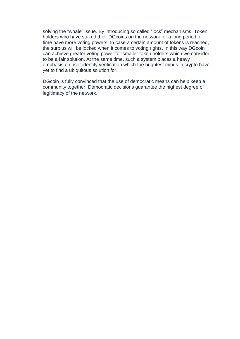solving the "whale" issue. By introducing so called "lock" mechanisms. Token holders who have staked their DGcoins on the network for a long period of time have more voting powers. In case a certain amount of tokens is reached, the surplus will be locked when it comes to voting rights. In this way DGcoin can achieve greater voting power for smaller token holders which we consider to be a fair solution. At the same time, such a system places a heavy emphasis on user identity verification which the brightest minds in crypto have yet to find a ubiquitous solution for.

DGcoin is fully convinced that the use of democratic means can help keep a community together. Democratic decisions guarantee the highest degree of legitimacy of the network.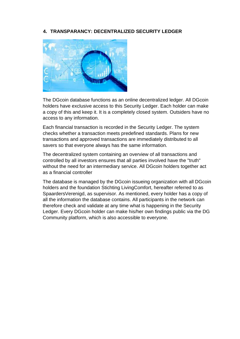# **4. TRANSPARANCY: DECENTRALIZED SECURITY LEDGER**



The DGcoin database functions as an online decentralized ledger. All DGcoin holders have exclusive access to this Security Ledger. Each holder can make a copy of this and keep it. It is a completely closed system. Outsiders have no access to any information.

Each financial transaction is recorded in the Security Ledger. The system checks whether a transaction meets predefined standards. Plans for new transactions and approved transactions are immediately distributed to all savers so that everyone always has the same information.

The decentralized system containing an overview of all transactions and controlled by all investors ensures that all parties involved have the "truth" without the need for an intermediary service. All DGcoin holders together act as a financial controller

The database is managed by the DGcoin issueing organization with all DGcoin holders and the foundation Stichting LivingComfort, hereafter referred to as SpaardersVerenigd, as supervisor. As mentioned, every holder has a copy of all the information the database contains. All participants in the network can therefore check and validate at any time what is happening in the Security Ledger. Every DGcoin holder can make his/her own findings public via the DG Community platform, which is also accessible to everyone.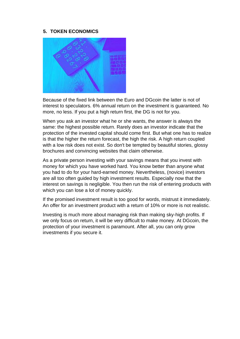#### **5. TOKEN ECONOMICS**



Because of the fixed link between the Euro and DGcoin the latter is not of interest to speculators. 6% annual return on the investment is guaranteed. No more, no less. If you put a high return first, the DG is not for you.

When you ask an investor what he or she wants, the answer is always the same: the highest possible return. Rarely does an investor indicate that the protection of the invested capital should come first. But what one has to realize is that the higher the return forecast, the high the risk. A high return coupled with a low risk does not exist. So don't be tempted by beautiful stories, glossy brochures and convincing websites that claim otherwise.

As a private person investing with your savings means that you invest with money for which you have worked hard. You know better than anyone what you had to do for your hard-earned money. Nevertheless, (novice) investors are all too often guided by high investment results. Especially now that the interest on savings is negligible. You then run the risk of entering products with which you can lose a lot of money quickly.

If the promised investment result is too good for words, mistrust it immediately. An offer for an investment product with a return of 10% or more is not realistic.

Investing is much more about managing risk than making sky-high profits. If we only focus on return, it will be very difficult to make money. At DGcoin, the protection of your investment is paramount. After all, you can only grow investments if you secure it.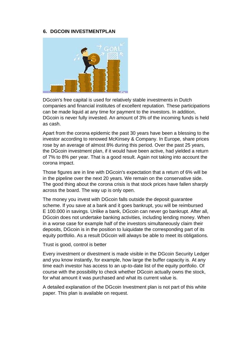#### **6. DGCOIN INVESTMENTPLAN**



DGcoin's free capital is used for relatively stable investments in Dutch companies and financial institutes of excellent reputation. These participations can be made liquid at any time for payment to the investors. In addition, DGcoin is never fully invested. An amount of 3% of the incoming funds is held as cash.

Apart from the corona epidemic the past 30 years have been a blessing to the investor according to renowed McKinsey & Company. In Europe, share prices rose by an average of almost 8% during this period. Over the past 25 years, the DGcoin investment plan, if it would have been active, had yielded a return of 7% to 8% per year. That is a good result. Again not taking into account the corona impact.

Those figures are in line with DGcoin's expectation that a return of 6% will be in the pipeline over the next 20 years. We remain on the conservative side. The good thing about the corona crisis is that stock prices have fallen sharply across the board. The way up is only open.

The money you invest with DGcoin falls outside the deposit guarantee scheme. If you save at a bank and it goes bankrupt, you will be reimbursed E 100.000 in savings. Unlike a bank, DGcoin can never go bankrupt. After all, DGcoin does not undertake banking activities, including lending money. When in a worse case for example half of the investors simultaneously claim their deposits, DGcoin is in the position to luiquidate the corresponding part of its equity portfolio. As a result DGcoin will always be able to meet its obligations.

Trust is good, control is better

Every investment or divestment is made visible in the DGcoin Security Ledger and you know instantly, for example, how large the buffer capacity is. At any time each investor has access to an up-to-date list of the equity portfolio. Of course with the possibility to check whether DGcoin actually owns the stock, for what amount it was purchased and what its current value is.

A detailed explanation of the DGcoin Investment plan is not part of this white paper. This plan is available on request.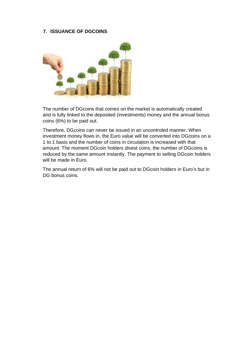#### **7. ISSUANCE OF DGCOINS**



The number of DGcoins that comes on the market is automatically created and is fully linked to the deposited (investments) money and the annual bonus coins (6%) to be paid out.

Therefore, DGcoins can never be issued in an uncontroled manner. When investment money flows in, the Euro value will be converted into DGcoins on a 1 to 1 basis and the number of coins in circulation is increased with that amount. The moment DGcoin holders divest coins, the number of DGcoins is reduced by the same amount instantly. The payment to selling DGcoin holders will be made in Euro.

The annual return of 6% will not be paid out to DGcoin holders in Euro's but in DG bonus coins.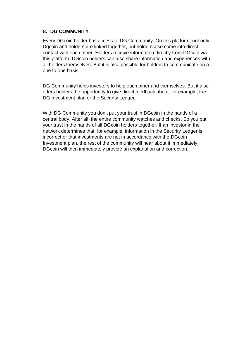## **8. DG COMMUNITY**

Every DGcoin holder has access to DG Community. On this platform, not only Dgcoin and holders are linked together, but holders also come into direct contact with each other. Holders receive information directly from DGcoin via this platform. DGcoin holders can also share information and experiences with all holders themselves. But it is also possible for holders to communicate on a one to one basis.

DG Community helps investors to help each other and themselves. But it also offers holders the opportunity to give direct feedback about, for example, the DG Investment plan or the Security Ledger.

With DG Community you don't put your trust in DGcoin in the hands of a central body. After all, the entire community watches and checks. So you put your trust in the hands of all DGcoin holders together. If an investor in the network determines that, for example, information in the Security Ledger is incorrect or that investments are not in accordance with the DGcoin Investment plan, the rest of the community will hear about it immediately. DGcoin will then immediately provide an explanation and correction.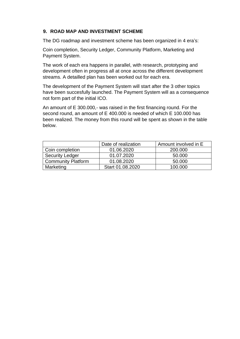# **9. ROAD MAP AND INVESTMENT SCHEME**

The DG roadmap and investment scheme has been organized in 4 era's:

Coin completion, Security Ledger, Community Platform, Marketing and Payment System.

The work of each era happens in parallel, with research, prototyping and development often in progress all at once across the different development streams. A detailled plan has been worked out for each era.

The development of the Payment System will start after the 3 other topics have been succesfully launched. The Payment System will as a consequence not form part of the initial ICO.

An amount of E 300.000,- was raised in the first financing round. For the second round, an amount of E 400.000 is needed of which E 100.000 has been realized. The money from this round will be spent as shown in the table below.

|                           | Date of realization | Amount involved in E |
|---------------------------|---------------------|----------------------|
| Coin completion           | 01.06.2020          | 200,000              |
| <b>Security Ledger</b>    | 01.07.2020          | 50.000               |
| <b>Community Platform</b> | 01.08.2020          | 50.000               |
| Marketing                 | Start 01.08.2020    | 100.000              |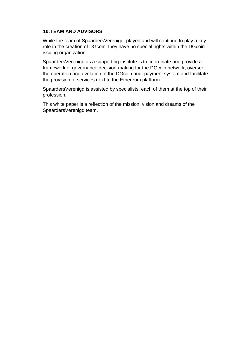## **10.TEAM AND ADVISORS**

While the team of SpaardersVerenigd, played and will continue to play a key role in the creation of DGcoin, they have no special rights within the DGcoin issuing organization.

SpaardersVerenigd as a supporting institute is to coordinate and provide a framework of governance decision-making for the DGcoin network, oversee the operation and evolution of the DGcoin and payment system and facilitate the provision of services next to the Ethereum platform.

SpaardersVerenigd is assisted by specialists, each of them at the top of their profession.

This white paper is a reflection of the mission, vision and dreams of the SpaardersVerenigd team.